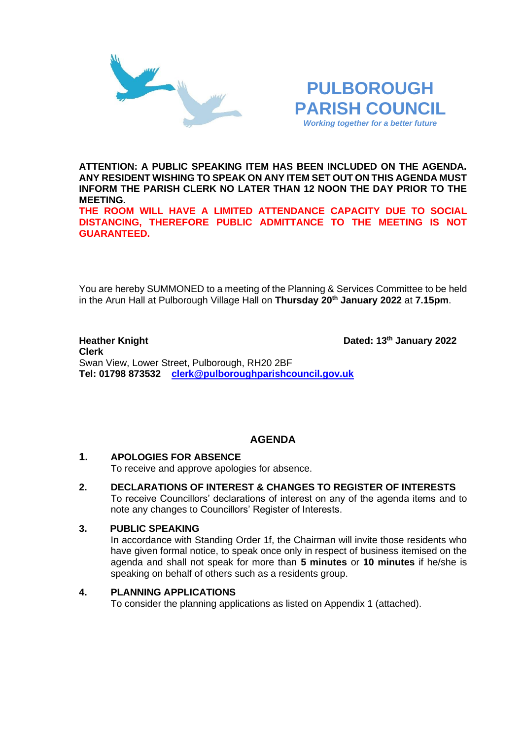



**ATTENTION: A PUBLIC SPEAKING ITEM HAS BEEN INCLUDED ON THE AGENDA. ANY RESIDENT WISHING TO SPEAK ON ANY ITEM SET OUT ON THIS AGENDA MUST INFORM THE PARISH CLERK NO LATER THAN 12 NOON THE DAY PRIOR TO THE MEETING.**

**THE ROOM WILL HAVE A LIMITED ATTENDANCE CAPACITY DUE TO SOCIAL DISTANCING, THEREFORE PUBLIC ADMITTANCE TO THE MEETING IS NOT GUARANTEED.**

You are hereby SUMMONED to a meeting of the Planning & Services Committee to be held in the Arun Hall at Pulborough Village Hall on **Thursday 20th January 2022** at **7.15pm**.

#### **Heather Knight Dated: 13<sup>th</sup> January 2022 Clerk**  Swan View, Lower Street, Pulborough, RH20 2BF **Tel: 01798 873532 [clerk@pulboroughparishcouncil.gov.uk](mailto:clerk@pulboroughparishcouncil.gov.uk)**

# **AGENDA**

## **1. APOLOGIES FOR ABSENCE**

To receive and approve apologies for absence.

**2. DECLARATIONS OF INTEREST & CHANGES TO REGISTER OF INTERESTS** To receive Councillors' declarations of interest on any of the agenda items and to note any changes to Councillors' Register of Interests.

## **3. PUBLIC SPEAKING**

In accordance with Standing Order 1f, the Chairman will invite those residents who have given formal notice, to speak once only in respect of business itemised on the agenda and shall not speak for more than **5 minutes** or **10 minutes** if he/she is speaking on behalf of others such as a residents group.

## **4. PLANNING APPLICATIONS**

To consider the planning applications as listed on Appendix 1 (attached).